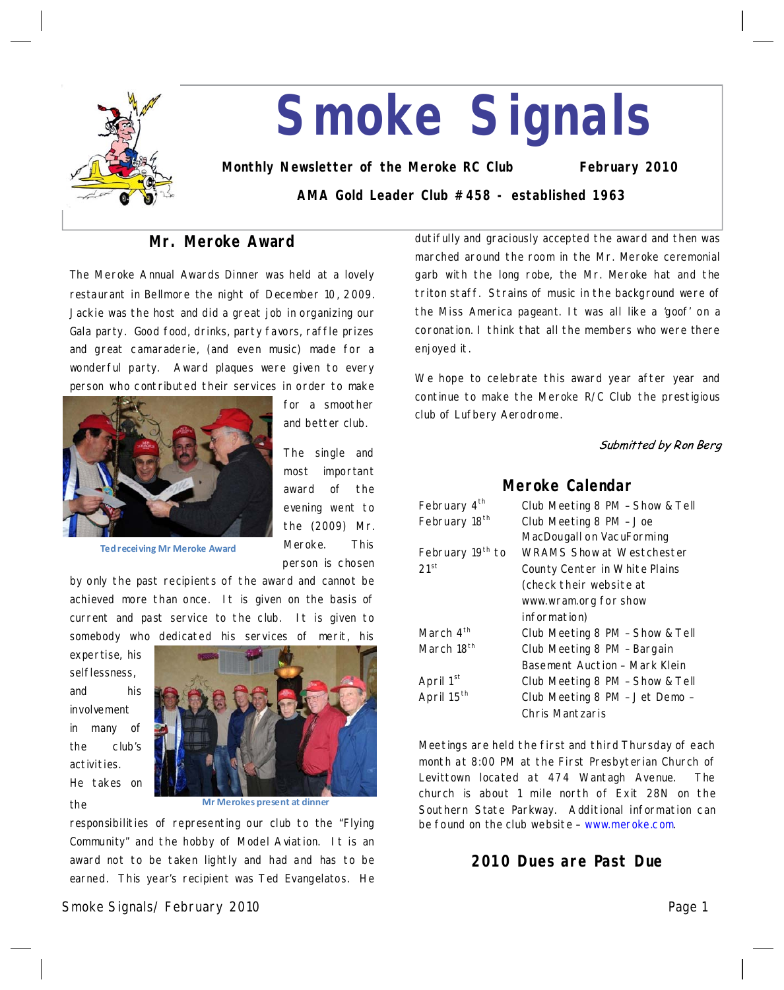

# **Smoke Signals**

**Monthly Newsletter of the Meroke RC Club February 2010 AMA Gold Leader Club #458 - established 1963**

## **Mr. Meroke Award**

The Meroke Annual Awards Dinner was held at a lovely restaurant in Bellmore the night of December 10, 2009. Jackie was the host and did a great job in organizing our Gala party. Good food, drinks, party favors, raffle prizes and great camaraderie, (and even music) made for a wonderful party. Award plaques were given to every person who contributed their services in order to make



for a smoother and better club.

The single and most important award of the evening went to the (2009) Mr. Meroke. This person is chosen

**Ted receiving Mr Meroke Award**

by only the past recipients of the award and cannot be achieved more than once. It is given on the basis of current and past service to the club. It is given to somebody who dedicated his services of merit, his

expertise, his selflessness, and his involvement in many of the club's activities. He takes on the



**Mr Merokes present at dinner**

responsibilities of representing our club to the "Flying Community" and the hobby of Model Aviation. It is an award not to be taken lightly and had and has to be earned. This year's recipient was Ted Evangelatos. He

Smoke Signals/ February 2010 Page 1 Page 1 Page 1

dutifully and graciously accepted the award and then was marched around the room in the Mr. Meroke ceremonial garb with the long robe, the Mr. Meroke hat and the triton staff. Strains of music in the background were of the Miss America pageant. It was all like a 'goof' on a coronation. I think that all the members who were there enjoyed it.

We hope to celebrate this award year after year and continue to make the Meroke R/C Club the prestigious club of Lufbery Aerodrome.

Submitted by Ron Berg

## **Meroke Calendar**

| February 4 <sup>th</sup>  | Club Meeting 8 PM - Show & Tell  |  |
|---------------------------|----------------------------------|--|
| February 18 <sup>th</sup> | Club Meeting 8 PM - Joe          |  |
|                           | MacDougall on VacuForming        |  |
| February 19th to          | <b>WRAMS Show at Westchester</b> |  |
| 21 <sup>st</sup>          | County Center in White Plains    |  |
|                           | (check their website at          |  |
|                           | www.wram.org for show            |  |
|                           | information)                     |  |
| March $4th$               | Club Meeting 8 PM - Show & Tell  |  |
| March 18 <sup>th</sup>    | Club Meeting 8 PM - Bargain      |  |
|                           | Basement Auction - Mark Klein    |  |
| April 1st                 | Club Meeting 8 PM - Show & Tell  |  |
| April 15 <sup>th</sup>    | Club Meeting 8 PM - Jet Demo -   |  |
|                           | Chris Mantzaris                  |  |

Meetings are held the first and third Thursday of each month at 8:00 PM at the First Presbyterian Church of Levittown located at 474 Wantagh Avenue. The church is about 1 mile north of Exit 28N on the Southern State Parkway. Additional information can be found on the club website - www.meroke.com.

## **2010 Dues are Past Due**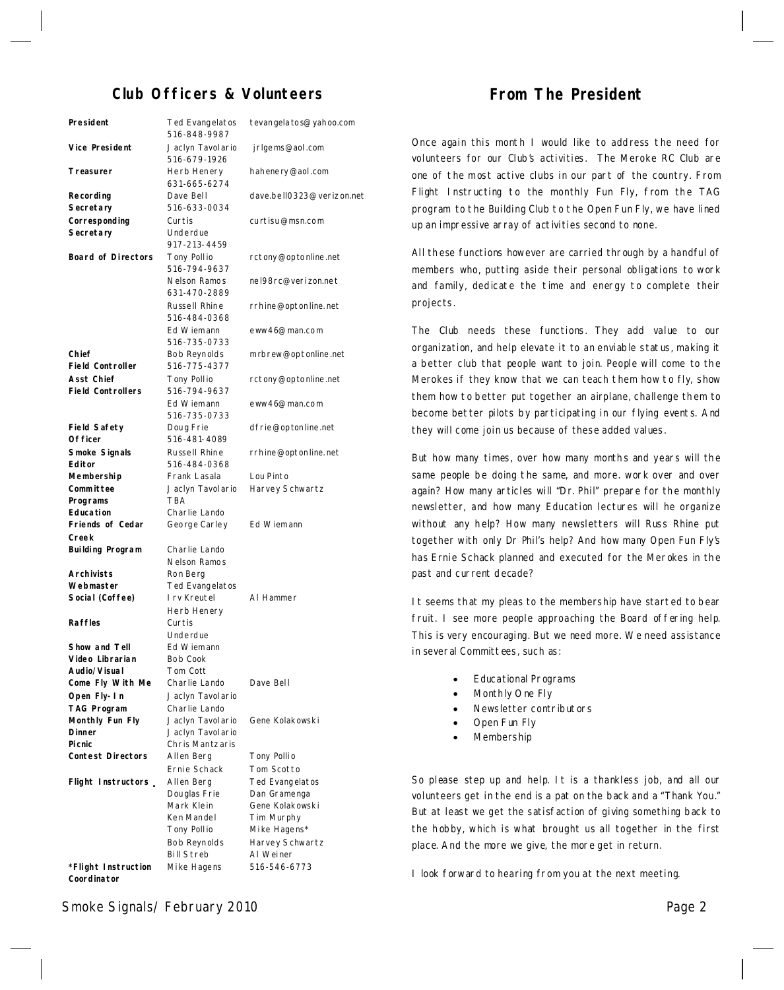## **Club Officers & Volunteers**

| President                              | Ted Evangelatos<br>516-848-9987             | tevangela to s@yahoo.com             |
|----------------------------------------|---------------------------------------------|--------------------------------------|
| Vice President                         | Jaclyn Tavolario<br>516-679-1926            | jrlgems@aol.com                      |
| Treasurer                              | Herb Henery<br>631-665-6274                 | hahenery@aol.com                     |
| Recording                              | Dave Bell                                   | dave.bell0323@verizon.net            |
| Secretary                              | 516-633-0034                                |                                      |
| Corresponding<br>Secretary             | Curtis<br>Underdue                          | curtisu@msn.com                      |
| <b>Board of Directors</b>              | 917-213-4459<br>Tony Pollio<br>516-794-9637 | rctony@optonline.net                 |
|                                        | Nelson Ramos<br>631-470-2889                | nel98rc@verizon.net                  |
|                                        | Russell Rhine<br>516-484-0368               | rrhine@optonline.net                 |
|                                        | Ed Wiemann<br>516-735-0733                  | eww46@man.com                        |
| Chief<br><b>Field Controller</b>       | Bob Reynolds<br>516-775-4377                | mrbrew@optonline.net                 |
| Asst Chief<br><b>Field Controllers</b> | Tony Pollio<br>516-794-9637<br>Ed Wiemann   | rctony@optonline.net                 |
| Field Safety                           | 516-735-0733<br>Doug Frie                   | eww46@man.com<br>dfrie@optonline.net |
| Of ficer                               | 516-481-4089                                |                                      |
| Smoke Signals                          | Russell Rhine                               | rrhine@optonline.net                 |
| Editor                                 | 516-484-0368                                |                                      |
| Membership                             | Frank Lasala                                | Lou Pinto                            |
| Committee                              | Jaclyn Tavolario                            | Harvey Schwartz                      |
| Programs                               | <b>TBA</b>                                  |                                      |
| <b>Education</b>                       | Charlie Lando                               |                                      |
| Friends of Cedar<br>Creek              | George Carley                               | Ed Wiemann                           |
| Building Program                       | Charlie Lando<br>Nelson Ramos               |                                      |
| Archivists                             | Ron Berg                                    |                                      |
| Webmaster<br>Social (Coffee)           | Ted Evangelatos<br>I rv Kreutel             | AI Hammer                            |
|                                        | Herb Henery                                 |                                      |
| <b>Raffles</b>                         | Curtis<br>Underdue                          |                                      |
| Show and Tell                          | Ed Wiemann                                  |                                      |
| Video Librarian                        | Bob Cook                                    |                                      |
| Audio/Visual                           | Tom Cott                                    |                                      |
| Come Fly With Me                       | Charlie Lando                               | Dave Bell                            |
| Open Fly-In                            | Jaclyn Tavolario                            |                                      |
| TAG Program                            | Charlie Lando                               |                                      |
| Monthly Fun Fly                        | Jaclyn Tavolario                            | Gene Kolakowski                      |
| Dinner                                 | Jaclyn Tavolario                            |                                      |
| Picnic                                 | Chris Mantzaris                             |                                      |
| <b>Contest Directors</b>               | Allen Berg                                  | Tony Pollio                          |
|                                        | Ernie Schack                                | Tom Scotto                           |
| Flight Instructors _                   | Allen Berg<br>Douglas Frie                  | Ted Evangelatos                      |
|                                        | Mark Klein                                  | Dan Gramenga<br>Gene Kolakowski      |
|                                        | Ken Mandel                                  | Tim Murphy                           |
|                                        | Tony Pollio                                 | Mike Hagens*                         |
|                                        | Bob Reynolds                                | Harvey Schwartz                      |
|                                        | <b>Bill Streb</b>                           | AI Weiner                            |
| *Flight Instruction                    | Mike Hagens                                 | 516-546-6773                         |

## **From The President**

Once again this month I would like to address the need for volunteers for our Club's activities. The Meroke RC Club are one of the most active clubs in our part of the country. From Flight Instructing to the monthly Fun Fly, from the TAG program to the Building Club to the Open Fun Fly, we have lined up an impressive array of activities second to none.

All these functions however are carried through by a handful of members who, putting aside their personal obligations to work and family, dedicate the time and energy to complete their projects.

The Club needs these functions. They add value to our organization, and help elevate it to an enviable status, making it a better club that people want to join. People will come to the Merokes if they know that we can teach them how to fly, show them how to better put together an airplane, challenge them to become better pilots by participating in our flying events. And they will come join us because of these added values.

But how many times, over how many months and years will the same people be doing the same, and more. work over and over again? How many articles will "Dr. Phil" prepare for the monthly newsletter, and how many Education lectures will he organize without any help? How many newsletters will Russ Rhine put together with only Dr Phil's help? And how many Open Fun Fly's has Ernie Schack planned and executed for the Merokes in the past and current decade?

It seems that my pleas to the membership have started to bear fruit. I see more people approaching the Board offering help. This is very encouraging. But we need more. We need assistance in several Committees, such as:

- · Educational Programs
- Monthly One Fly
- Newsletter contributors
- Open Fun Fly
- **Membership**

So please step up and help. It is a thankless job, and all our volunteers get in the end is a pat on the back and a"Thank You." But at least we get the satisfaction of giving something back to the hobby, which is what brought us all together in the first place. And the more we give, the more get in return.

I look forward to hearing from you at the next meeting.

Smoke Signals/February 2010 **Page 2** Page 2

**Coordinator**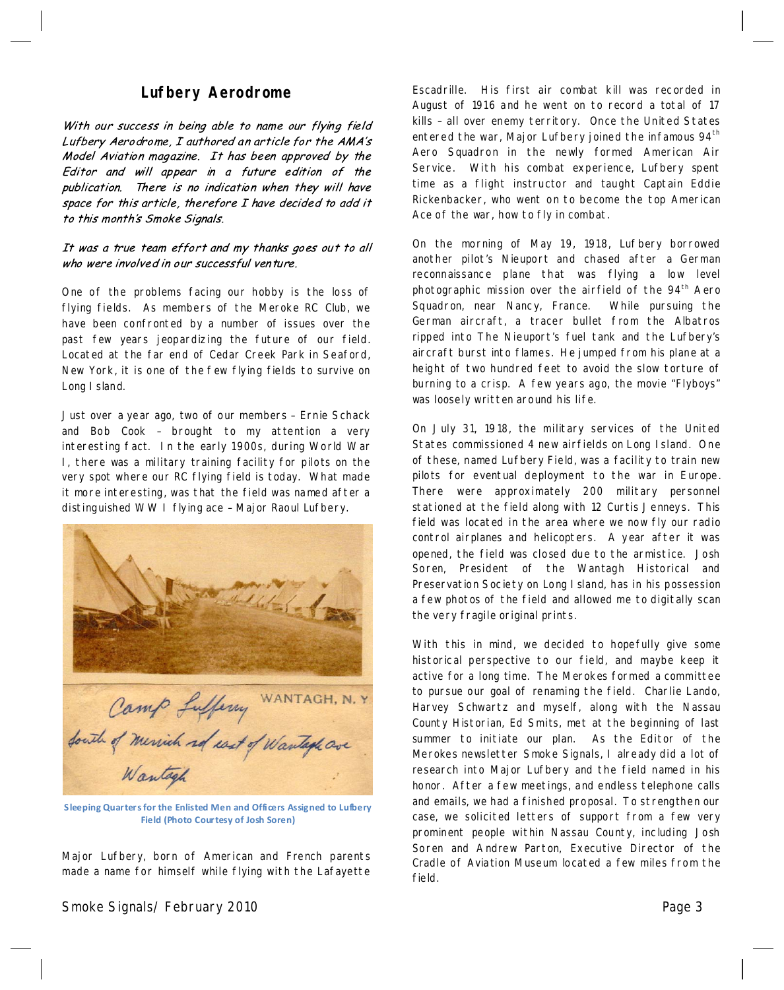## **Lufbery Aerodrome**

With our success in being able to name our flying field Lufbery Aerodrome, I authored an article for the AMA's Model Aviation magazine. It has been approved by the Editor and will appear in a future edition of the publication. There is no indication when they will have space for this article, therefore I have decided to add it to this month's Smoke Signals.

#### It was a true team effort and my thanks goes out to all who were involved in our successful venture.

One of the problems facing our hobby is the loss of flying fields. As members of the Meroke RC Club, we have been confronted by a number of issues over the past few years jeopardizing the future of our field. Located at the far end of Cedar Creek Park in Seaford, New York, it is one of the few flying fields to survive on Long I sland.

Just overa year ago, two of our members–Ernie Schack and Bob Cook – brought to my attention a very interesting fact. In the early 1900s, during World War I, there was a military training facility for pilots on the very spot where our RC flying field is today. What made it more interesting, was that the field was named after a distinguished WW I flying ace–Major Raoul Lufbery.



**Sleeping Quarters forthe Enlisted Men and Officers Assigned to Lufbery Field(Photo Courtesy of Josh Soren)**

Major Lufbery, born of American and French parents made a name for himself while flying with the Lafayette

Smoke Signals/ February 2010 **Page 3** Page 3

Escadrille. His first air combat kill was recorded in August of 1916 and he went on to record a total of 17 kills–all over enemy territory. Once the United States entered the war, Major Lufbery joined the infamous 94<sup>th</sup> Aero Squadron in the newly formed American Air Service. With his combat experience, Lufbery spent time as a flight instructor and taught Captain Eddie Rickenbacker, who went on to become the top American Ace of the war, how to fly in combat.

On the morning of May 19, 1918, Lufbery borrowed another pilot's Nieuport and chased after a German reconnaissance plane that was flying a low level photographic mission over the airfield of the  $94<sup>th</sup>$  Aero Squadron, near Nancy, France. While pursuing the German aircraft, a tracer bullet from the Albatros ripped into The Nieuport's fuel tank and the Lufbery's aircraft burst into flames. He jumped from his plane at a height of two hundred feet to avoid the slow torture of burning to a crisp. A few years ago, the movie "Flyboys" was loosely written around his life.

On July 31,1918, the military services of the United States commissioned 4 new airfields on Long Island. One of these, named Lufbery Field, was a facility to train new pilots for eventual deployment to the war in Europe. There were approximately 200 military personnel stationed at the field along with 12 Curtis Jenneys. This field was located in the area where we now fly our radio control airplanes and helicopters. A year after it was opened, the field was closed due to the armistice. Josh Soren, President of the Wantagh Historical and Preservation Society on Long I sland, has in his possession a few photos of the field and allowed me todigitally scan the very fragile original prints.

With this in mind, we decided to hopefully give some historical perspective to our field, and maybe keep it active for a long time. The Merokes formed a committee to pursue our goal of renaming the field. Charlie Lando, Harvey Schwartz and myself, along with the Nassau County Historian, Ed Smits, met at the beginning of last summer to initiate our plan. As the Editor of the Merokes newsletter Smoke Signals, I already did a lot of research into Major Lufbery and the field named in his honor. After a few meetings, and endless telephone calls and emails, we had a finished proposal. To strengthen our case, we solicited letters of support from a few very prominent people within Nassau County, including Josh Soren and Andrew Parton, Executive Director of the Cradle of Aviation Museum located a few miles from the field.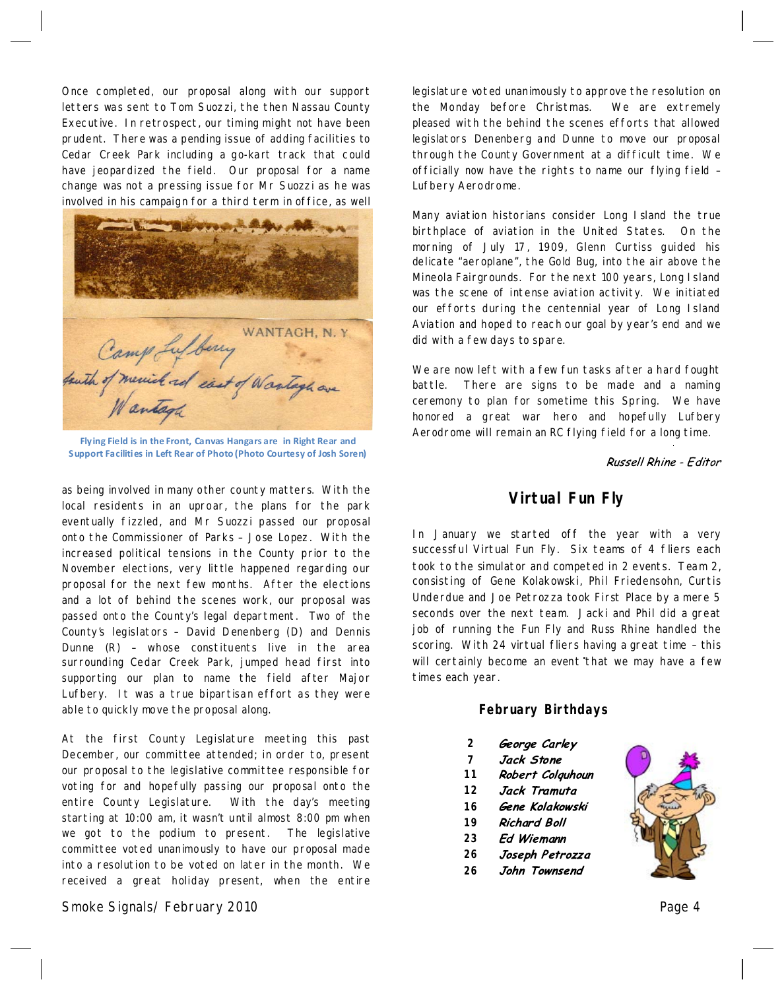Once completed, our proposal along with our support letters was sent to Tom Suozzi, the then Nassau County Executive. In retrospect, our timing might not have been prudent. There was a pending issue of adding facilities to Cedar Creek Park including a go-kart track that could have jeopardized the field. Our proposal for a name change was not a pressing issue for Mr Suozzi as he was involved in his campaign for a third term in office, as well



**Flying Field is in the Front, Canvas Hangars are in Right Rear and Support Facilities in Left Rear of Photo (Photo Courtesy of Josh Soren)** 

as being involved in many other county matters. With the local residents in an uproar, the plans for the park eventually fizzled, and Mr Suozzi passed our proposal onto the Commissioner of Parks - Jose Lopez. With the increased political tensions in the County prior to the November elections, very little happened regarding our proposal for the next few months. After the elections and a lot of behind the scenes work, our proposal was passed onto the County's legal department. Two of the County's legislators - David Denenberg (D) and Dennis Dunne (R) – whose constituents live in the area surrounding Cedar Creek Park, jumped head first into supporting our plan to name the field after Major Lufbery. It was a true bipartisan effort as they were able to quickly move the proposal along.

At the first County Legislature meeting this past December, our committee attended; in order to, present our proposal to the legislative committee responsible for voting for and hopefully passing our proposal onto the entire County Legislature. With the day's meeting starting at 10:00 am, it wasn't until almost 8:00 pm when we got to the podium to present. The legislative committee voted unanimously to have our proposal made into a resolution to be voted on later in the month. We received a great holiday present, when the entire

Smoke Signals/ February 2010 Page 4

legislature voted unanimously to approve the resolution on the Monday before Christmas. We are extremely pleased with the behind the scenes efforts that allowed legislators Denenberg and Dunne to move our proposal through the County Governmentat a difficult time. We officially now have the rights to name our flying field– Lufbery Aerodrome.

Many aviation historians consider Long Island the true birthplace of aviation in the United States. On the morning of July 17, 1909, Glenn Curtiss guided his delicate "aeroplane", the Gold Bug, into the air above the Mineola Fairgrounds. For the next 100 years, Long Island was the scene of intense aviation activity. We initiated our efforts during the centennial year of Long Island Aviation and hoped to reach our goal by year's end and we did with a few days to spare.

We are now left with a few fun tasks after a hard fought battle. There are signs to be made and a naming ceremony to plan for sometime this Spring. We have honored a great war hero and hopefully Lufbery Aerodrome will remain an RC flying field for a long time.

Russell Rhine - Editor

## **Virtual Fun Fly**

In January we started off the year with a very successful Virtual Fun Fly. Six teams of 4 fliers each took to the simulator and competed in 2 events. Team 2, consisting of Gene Kolakowski, Phil Friedensohn, Curtis Underdue and Joe Petrozza took First Place by a mere 5 seconds over the next team. Jacki and Phil did a great job of running the Fun Fly and Russ Rhine handled the scoring. With 24 virtual fliers having a great time - this will certainly become an event that we may have a few times each year.

#### **February Birthdays**

- **2** George Carley
- **7** Jack Stone
- Robert Colquhoun **11**
- Jack Tramuta **12**
- **16** Gene Kolakowski
- **19 Richard Boll**
- **23 Ed Wiemann**
- **26** Joseph Petrozza
- **26**John Townsend